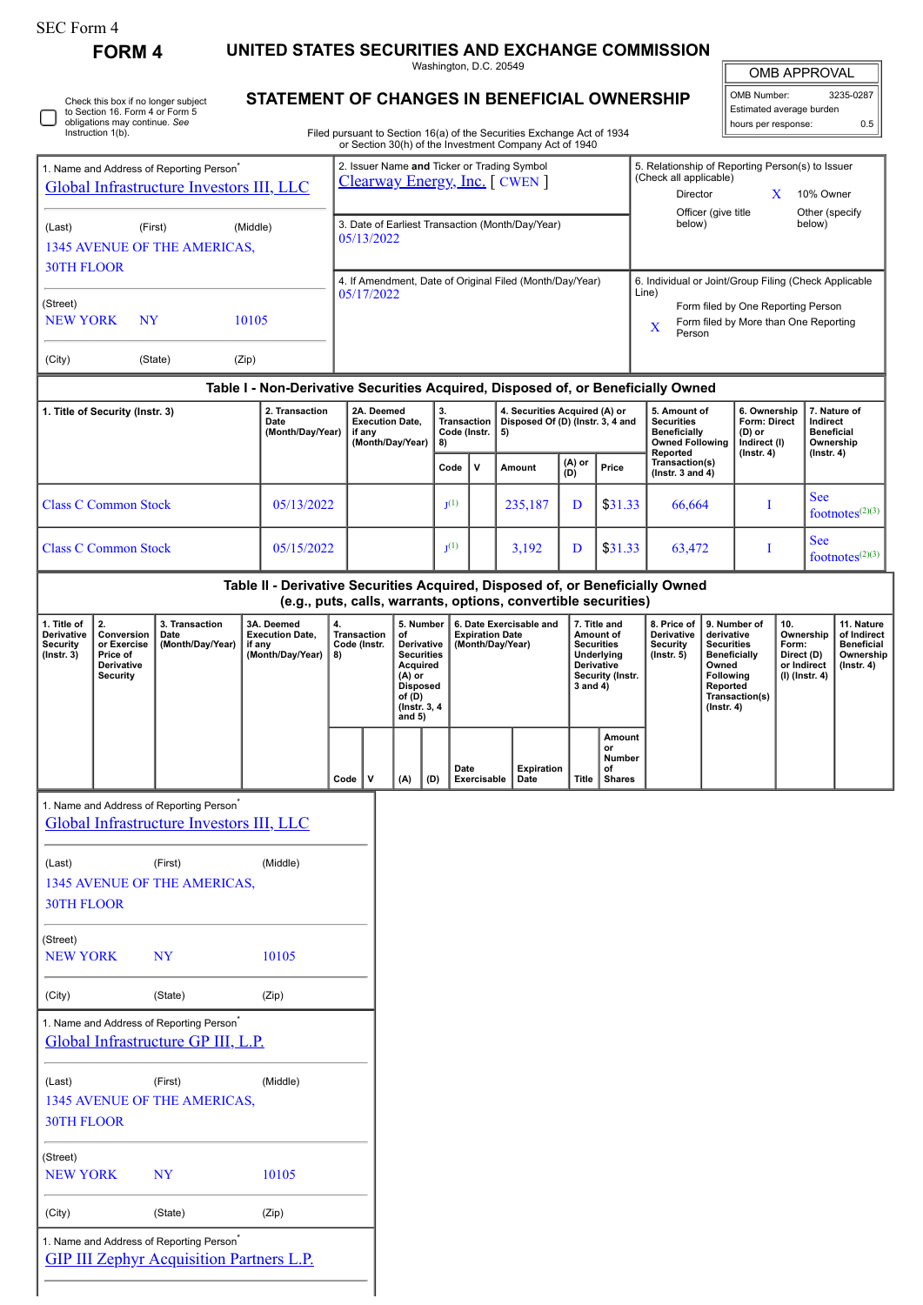| SEC Form 4 |  |
|------------|--|
|------------|--|

**FORM 4 UNITED STATES SECURITIES AND EXCHANGE COMMISSION**

Washington, D.C. 20549

## **STATEMENT OF CHANGES IN BENEFICIAL OWNERSHIP**

| <b>OMB APPROVAL</b>      |     |  |  |  |  |  |
|--------------------------|-----|--|--|--|--|--|
| OMB Number:<br>3235-0287 |     |  |  |  |  |  |
| Estimated average burden |     |  |  |  |  |  |
| hours per response:      | ስ 5 |  |  |  |  |  |

|                                                                                                  | Instruction 1(b).                                                            |                                                                                                  |                                                                                  |          |                                                                        |                                                                               |                                                                                             |                                                |             |                                                                                                                                                                                                                                   | Filed pursuant to Section 16(a) of the Securities Exchange Act of 1934<br>or Section 30(h) of the Investment Company Act of 1940 |                                                                                                      |                                               |                                                                 |                                                                                        |                           | noard por rodpondo.                                                                                                               |   |                                                                                                                                       |                    |
|--------------------------------------------------------------------------------------------------|------------------------------------------------------------------------------|--------------------------------------------------------------------------------------------------|----------------------------------------------------------------------------------|----------|------------------------------------------------------------------------|-------------------------------------------------------------------------------|---------------------------------------------------------------------------------------------|------------------------------------------------|-------------|-----------------------------------------------------------------------------------------------------------------------------------------------------------------------------------------------------------------------------------|----------------------------------------------------------------------------------------------------------------------------------|------------------------------------------------------------------------------------------------------|-----------------------------------------------|-----------------------------------------------------------------|----------------------------------------------------------------------------------------|---------------------------|-----------------------------------------------------------------------------------------------------------------------------------|---|---------------------------------------------------------------------------------------------------------------------------------------|--------------------|
| 1. Name and Address of Reporting Person <sup>*</sup><br>Global Infrastructure Investors III, LLC |                                                                              |                                                                                                  |                                                                                  |          |                                                                        | 2. Issuer Name and Ticker or Trading Symbol<br>Clearway Energy, Inc. [ CWEN ] |                                                                                             |                                                |             |                                                                                                                                                                                                                                   |                                                                                                                                  |                                                                                                      |                                               |                                                                 | 5. Relationship of Reporting Person(s) to Issuer<br>(Check all applicable)<br>Director |                           |                                                                                                                                   | X | 10% Owner                                                                                                                             |                    |
| (First)<br>(Middle)<br>(Last)<br>1345 AVENUE OF THE AMERICAS,                                    |                                                                              |                                                                                                  |                                                                                  |          | 3. Date of Earliest Transaction (Month/Day/Year)<br>05/13/2022         |                                                                               |                                                                                             |                                                |             |                                                                                                                                                                                                                                   | Officer (give title<br>Other (specify<br>below)<br>below)                                                                        |                                                                                                      |                                               |                                                                 |                                                                                        |                           |                                                                                                                                   |   |                                                                                                                                       |                    |
| <b>30TH FLOOR</b><br>(Street)                                                                    |                                                                              |                                                                                                  |                                                                                  |          | 4. If Amendment, Date of Original Filed (Month/Day/Year)<br>05/17/2022 |                                                                               |                                                                                             |                                                |             |                                                                                                                                                                                                                                   |                                                                                                                                  | 6. Individual or Joint/Group Filing (Check Applicable<br>Line)<br>Form filed by One Reporting Person |                                               |                                                                 |                                                                                        |                           |                                                                                                                                   |   |                                                                                                                                       |                    |
| <b>NEW YORK</b><br>(City)                                                                        | NY                                                                           | (State)                                                                                          | 10105<br>(Zip)                                                                   |          |                                                                        |                                                                               |                                                                                             |                                                |             |                                                                                                                                                                                                                                   |                                                                                                                                  |                                                                                                      |                                               |                                                                 | X<br>Person                                                                            |                           | Form filed by More than One Reporting                                                                                             |   |                                                                                                                                       |                    |
|                                                                                                  |                                                                              |                                                                                                  | Table I - Non-Derivative Securities Acquired, Disposed of, or Beneficially Owned |          |                                                                        |                                                                               |                                                                                             |                                                |             |                                                                                                                                                                                                                                   |                                                                                                                                  |                                                                                                      |                                               |                                                                 |                                                                                        |                           |                                                                                                                                   |   |                                                                                                                                       |                    |
|                                                                                                  | 1. Title of Security (Instr. 3)                                              |                                                                                                  | 2. Transaction<br>Date<br>(Month/Day/Year)                                       |          | if any                                                                 | 2A. Deemed<br><b>Execution Date,</b><br>(Month/Day/Year)                      |                                                                                             | 3.<br><b>Transaction</b><br>Code (Instr.<br>8) |             | 5)                                                                                                                                                                                                                                | 4. Securities Acquired (A) or<br>Disposed Of (D) (Instr. 3, 4 and                                                                |                                                                                                      |                                               |                                                                 | 5. Amount of<br><b>Securities</b><br><b>Beneficially</b><br><b>Owned Following</b>     |                           | 6. Ownership<br>Form: Direct<br>(D) or<br>Indirect (I)                                                                            |   | 7. Nature of<br>Indirect<br><b>Beneficial</b><br>Ownership                                                                            |                    |
|                                                                                                  |                                                                              |                                                                                                  |                                                                                  |          |                                                                        |                                                                               |                                                                                             | Code                                           | $\mathbf v$ |                                                                                                                                                                                                                                   | Amount                                                                                                                           | (A) or<br>(D)                                                                                        | Price                                         |                                                                 | Reported<br>Transaction(s)<br>(Instr. $3$ and $4$ )                                    |                           | $($ lnstr. 4 $)$                                                                                                                  |   | $($ Instr. 4 $)$                                                                                                                      |                    |
|                                                                                                  | <b>Class C Common Stock</b>                                                  |                                                                                                  | 05/13/2022                                                                       |          |                                                                        |                                                                               |                                                                                             | I <sub>1</sub> (1)                             |             |                                                                                                                                                                                                                                   | 235,187                                                                                                                          | D                                                                                                    | \$31.33                                       |                                                                 | 66,664                                                                                 |                           | T                                                                                                                                 |   | <b>See</b>                                                                                                                            | footnotes $(2)(3)$ |
|                                                                                                  | <b>Class C Common Stock</b>                                                  |                                                                                                  | 05/15/2022                                                                       |          |                                                                        |                                                                               |                                                                                             | I <sub>1</sub> (1)                             |             |                                                                                                                                                                                                                                   | 3,192                                                                                                                            | D                                                                                                    | \$31.33                                       |                                                                 | 63,472                                                                                 |                           | <b>See</b><br>I                                                                                                                   |   | footnotes $(2)(3)$                                                                                                                    |                    |
|                                                                                                  |                                                                              |                                                                                                  | Table II - Derivative Securities Acquired, Disposed of, or Beneficially Owned    |          |                                                                        |                                                                               |                                                                                             |                                                |             |                                                                                                                                                                                                                                   |                                                                                                                                  |                                                                                                      |                                               |                                                                 |                                                                                        |                           |                                                                                                                                   |   |                                                                                                                                       |                    |
| 1. Title of<br><b>Derivative</b><br><b>Security</b><br>$($ Instr. 3 $)$                          | 2.<br>Conversion<br>or Exercise<br>Price of<br>Derivative<br><b>Security</b> | 3. Transaction<br>Date<br>(Month/Day/Year)                                                       | 3A. Deemed<br><b>Execution Date,</b><br>if any<br>(Month/Day/Year)               | 4.<br>8) | <b>Transaction</b><br>Code (Instr.                                     | of<br>(A) or<br>of (D)<br>and $5)$                                            | 5. Number<br>Derivative<br><b>Securities</b><br>Acquired<br><b>Disposed</b><br>(Instr. 3, 4 |                                                |             | (e.g., puts, calls, warrants, options, convertible securities)<br>6. Date Exercisable and<br>7. Title and<br><b>Expiration Date</b><br>Amount of<br>(Month/Day/Year)<br><b>Securities</b><br>Underlying<br>Derivative<br>3 and 4) |                                                                                                                                  | Security (Instr.                                                                                     |                                               | 8. Price of<br>Derivative<br><b>Security</b><br>$($ Instr. $5)$ |                                                                                        | Owned<br>$($ Instr. 4 $)$ | 9. Number of<br>10.<br>derivative<br><b>Securities</b><br>Form:<br><b>Beneficially</b><br>Following<br>Reported<br>Transaction(s) |   | 11. Nature<br>Ownership<br>of Indirect<br><b>Beneficial</b><br>Ownership<br>Direct (D)<br>or Indirect<br>(Instr. 4)<br>(I) (Instr. 4) |                    |
|                                                                                                  |                                                                              |                                                                                                  |                                                                                  | Code     | v                                                                      | (A)                                                                           | (D)                                                                                         | Date                                           | Exercisable |                                                                                                                                                                                                                                   | <b>Expiration</b><br>Date                                                                                                        | Title                                                                                                | Amount<br>or<br>Number<br>οf<br><b>Shares</b> |                                                                 |                                                                                        |                           |                                                                                                                                   |   |                                                                                                                                       |                    |
|                                                                                                  |                                                                              | 1. Name and Address of Reporting Person <sup>®</sup><br>Global Infrastructure Investors III, LLC |                                                                                  |          |                                                                        |                                                                               |                                                                                             |                                                |             |                                                                                                                                                                                                                                   |                                                                                                                                  |                                                                                                      |                                               |                                                                 |                                                                                        |                           |                                                                                                                                   |   |                                                                                                                                       |                    |
| (Last)<br><b>30TH FLOOR</b>                                                                      |                                                                              | (First)<br>1345 AVENUE OF THE AMERICAS,                                                          | (Middle)                                                                         |          |                                                                        |                                                                               |                                                                                             |                                                |             |                                                                                                                                                                                                                                   |                                                                                                                                  |                                                                                                      |                                               |                                                                 |                                                                                        |                           |                                                                                                                                   |   |                                                                                                                                       |                    |
| (Street)<br><b>NEW YORK</b>                                                                      |                                                                              | <b>NY</b>                                                                                        | 10105                                                                            |          |                                                                        |                                                                               |                                                                                             |                                                |             |                                                                                                                                                                                                                                   |                                                                                                                                  |                                                                                                      |                                               |                                                                 |                                                                                        |                           |                                                                                                                                   |   |                                                                                                                                       |                    |
| (City)                                                                                           |                                                                              | (State)                                                                                          | (Zip)                                                                            |          |                                                                        |                                                                               |                                                                                             |                                                |             |                                                                                                                                                                                                                                   |                                                                                                                                  |                                                                                                      |                                               |                                                                 |                                                                                        |                           |                                                                                                                                   |   |                                                                                                                                       |                    |
|                                                                                                  |                                                                              | 1. Name and Address of Reporting Person <sup>*</sup><br>Global Infrastructure GP III, L.P.       |                                                                                  |          |                                                                        |                                                                               |                                                                                             |                                                |             |                                                                                                                                                                                                                                   |                                                                                                                                  |                                                                                                      |                                               |                                                                 |                                                                                        |                           |                                                                                                                                   |   |                                                                                                                                       |                    |
| (Last)                                                                                           |                                                                              | (First)                                                                                          | (Middle)                                                                         |          |                                                                        |                                                                               |                                                                                             |                                                |             |                                                                                                                                                                                                                                   |                                                                                                                                  |                                                                                                      |                                               |                                                                 |                                                                                        |                           |                                                                                                                                   |   |                                                                                                                                       |                    |

| 1345 AVENUE OF THE AMERICAS, |  |
|------------------------------|--|
| 30TH FLOOR                   |  |

| (Street)<br><b>NEW YORK</b><br>NY<br>10105 | (City) | (State) | (Zip) |  |
|--------------------------------------------|--------|---------|-------|--|
|                                            |        |         |       |  |

1. Name and Address of Reporting Person<sup>\*</sup>

|  |  | <b>GIP III Zephyr Acquisition Partners L.P.</b> |  |
|--|--|-------------------------------------------------|--|
|  |  |                                                 |  |